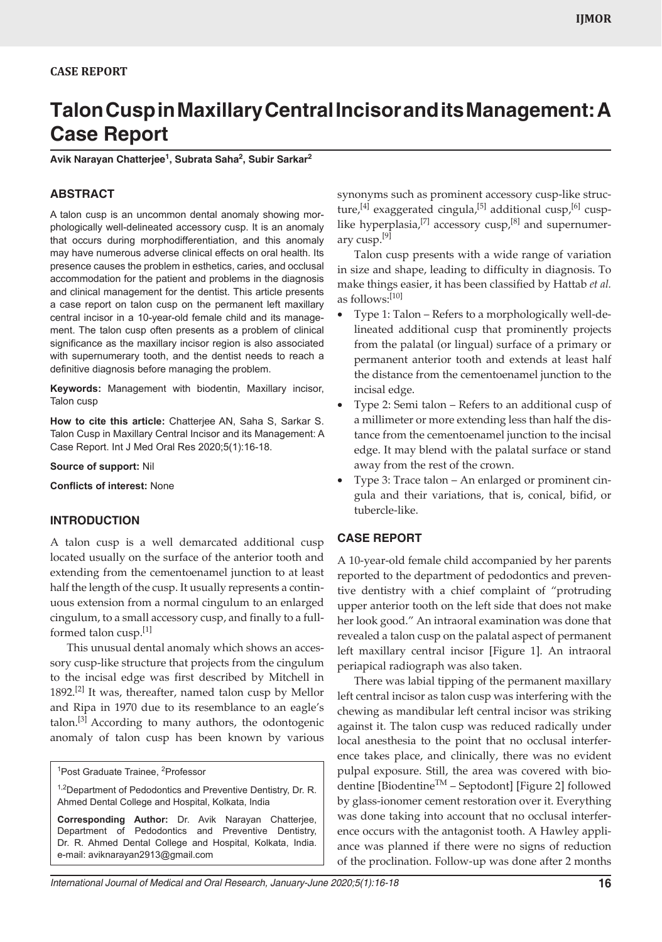# **Talon Cusp in Maxillary Central Incisor and its Management: A Case Report**

**Avik Narayan Chatterjee<sup>1</sup> , Subrata Saha2 , Subir Sarkar2**

## **ABSTRACT**

A talon cusp is an uncommon dental anomaly showing morphologically well-delineated accessory cusp. It is an anomaly that occurs during morphodifferentiation, and this anomaly may have numerous adverse clinical effects on oral health. Its presence causes the problem in esthetics, caries, and occlusal accommodation for the patient and problems in the diagnosis and clinical management for the dentist. This article presents a case report on talon cusp on the permanent left maxillary central incisor in a 10-year-old female child and its management. The talon cusp often presents as a problem of clinical significance as the maxillary incisor region is also associated with supernumerary tooth, and the dentist needs to reach a definitive diagnosis before managing the problem.

**Keywords:** Management with biodentin, Maxillary incisor, Talon cusp

**How to cite this article:** Chatterjee AN, Saha S, Sarkar S. Talon Cusp in Maxillary Central Incisor and its Management: A Case Report. Int J Med Oral Res 2020;5(1):16-18.

**Source of support:** Nil

**Conflicts of interest:** None

### **INTRODUCTION**

A talon cusp is a well demarcated additional cusp located usually on the surface of the anterior tooth and extending from the cementoenamel junction to at least half the length of the cusp. It usually represents a continuous extension from a normal cingulum to an enlarged cingulum, to a small accessory cusp, and finally to a fullformed talon cusp.<sup>[1]</sup>

This unusual dental anomaly which shows an accessory cusp-like structure that projects from the cingulum to the incisal edge was first described by Mitchell in 1892.<sup>[2]</sup> It was, thereafter, named talon cusp by Mellor and Ripa in 1970 due to its resemblance to an eagle's talon.<sup>[3]</sup> According to many authors, the odontogenic anomaly of talon cusp has been known by various

synonyms such as prominent accessory cusp-like structure,<sup>[4]</sup> exaggerated cingula,<sup>[5]</sup> additional cusp,<sup>[6]</sup> cusplike hyperplasia,<sup>[7]</sup> accessory cusp,<sup>[8]</sup> and supernumerary cusp.<sup>[9]</sup>

Talon cusp presents with a wide range of variation in size and shape, leading to difficulty in diagnosis. To make things easier, it has been classified by Hattab *et al.* as follows:[10]

- Type 1: Talon Refers to a morphologically well-delineated additional cusp that prominently projects from the palatal (or lingual) surface of a primary or permanent anterior tooth and extends at least half the distance from the cementoenamel junction to the incisal edge.
- Type 2: Semi talon Refers to an additional cusp of a millimeter or more extending less than half the distance from the cementoenamel junction to the incisal edge. It may blend with the palatal surface or stand away from the rest of the crown.
- Type 3: Trace talon  $-$  An enlarged or prominent cingula and their variations, that is, conical, bifid, or tubercle-like.

# **CASE REPORT**

A 10-year-old female child accompanied by her parents reported to the department of pedodontics and preventive dentistry with a chief complaint of "protruding upper anterior tooth on the left side that does not make her look good." An intraoral examination was done that revealed a talon cusp on the palatal aspect of permanent left maxillary central incisor [Figure 1]. An intraoral periapical radiograph was also taken.

There was labial tipping of the permanent maxillary left central incisor as talon cusp was interfering with the chewing as mandibular left central incisor was striking against it. The talon cusp was reduced radically under local anesthesia to the point that no occlusal interference takes place, and clinically, there was no evident pulpal exposure. Still, the area was covered with biodentine [Biodentine<sup>TM</sup> – Septodont] [Figure 2] followed by glass-ionomer cement restoration over it. Everything was done taking into account that no occlusal interference occurs with the antagonist tooth. A Hawley appliance was planned if there were no signs of reduction of the proclination. Follow-up was done after 2 months

<sup>&</sup>lt;sup>1</sup>Post Graduate Trainee, <sup>2</sup>Professor

<sup>&</sup>lt;sup>1,2</sup>Department of Pedodontics and Preventive Dentistry, Dr. R. Ahmed Dental College and Hospital, Kolkata, India

**Corresponding Author:** Dr. Avik Narayan Chatterjee, Department of Pedodontics and Preventive Dentistry, Dr. R. Ahmed Dental College and Hospital, Kolkata, India. e-mail: aviknarayan2913@gmail.com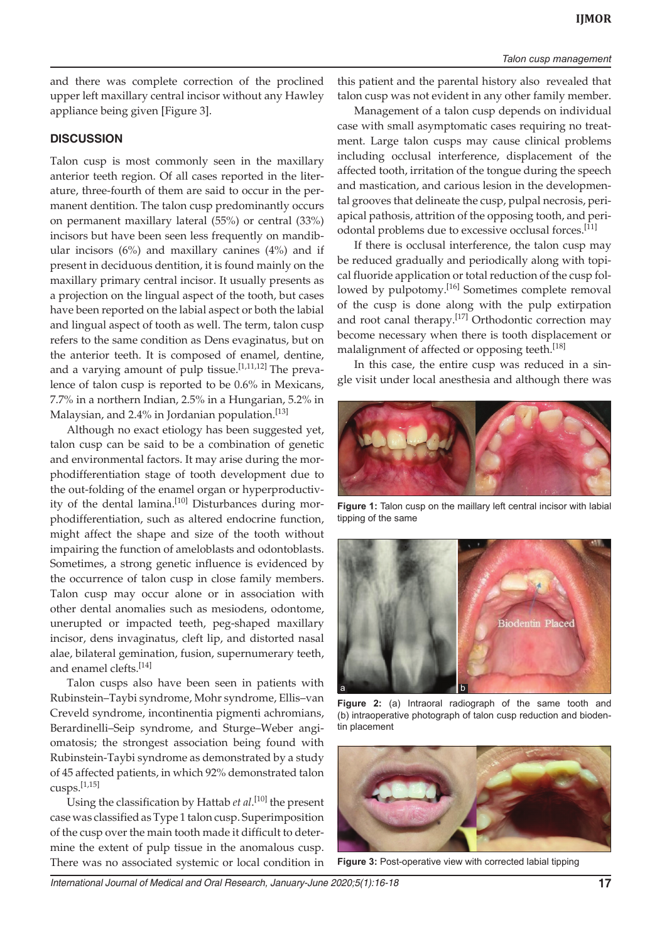#### *Talon cusp management*

and there was complete correction of the proclined upper left maxillary central incisor without any Hawley appliance being given [Figure 3].

# **DISCUSSION**

Talon cusp is most commonly seen in the maxillary anterior teeth region. Of all cases reported in the literature, three-fourth of them are said to occur in the permanent dentition. The talon cusp predominantly occurs on permanent maxillary lateral (55%) or central (33%) incisors but have been seen less frequently on mandibular incisors  $(6\%)$  and maxillary canines  $(4\%)$  and if present in deciduous dentition, it is found mainly on the maxillary primary central incisor. It usually presents as a projection on the lingual aspect of the tooth, but cases have been reported on the labial aspect or both the labial and lingual aspect of tooth as well. The term, talon cusp refers to the same condition as Dens evaginatus, but on the anterior teeth. It is composed of enamel, dentine, and a varying amount of pulp tissue.  $[1,11,12]$  The prevalence of talon cusp is reported to be 0.6% in Mexicans, 7.7% in a northern Indian, 2.5% in a Hungarian, 5.2% in Malaysian, and 2.4% in Jordanian population.<sup>[13]</sup>

Although no exact etiology has been suggested yet, talon cusp can be said to be a combination of genetic and environmental factors. It may arise during the morphodifferentiation stage of tooth development due to the out-folding of the enamel organ or hyperproductivity of the dental lamina.<sup>[10]</sup> Disturbances during morphodifferentiation, such as altered endocrine function, might affect the shape and size of the tooth without impairing the function of ameloblasts and odontoblasts. Sometimes, a strong genetic influence is evidenced by the occurrence of talon cusp in close family members. Talon cusp may occur alone or in association with other dental anomalies such as mesiodens, odontome, unerupted or impacted teeth, peg-shaped maxillary incisor, dens invaginatus, cleft lip, and distorted nasal alae, bilateral gemination, fusion, supernumerary teeth, and enamel clefts.<sup>[14]</sup>

Talon cusps also have been seen in patients with Rubinstein–Taybi syndrome, Mohr syndrome, Ellis–van Creveld syndrome, incontinentia pigmenti achromians, Berardinelli–Seip syndrome, and Sturge–Weber angiomatosis; the strongest association being found with Rubinstein-Taybi syndrome as demonstrated by a study of 45 affected patients, in which 92% demonstrated talon cusps.[1,15]

Using the classification by Hattab *et al*. [10] the present case was classified as Type 1 talon cusp. Superimposition of the cusp over the main tooth made it difficult to determine the extent of pulp tissue in the anomalous cusp. There was no associated systemic or local condition in

this patient and the parental history also revealed that talon cusp was not evident in any other family member.

Management of a talon cusp depends on individual case with small asymptomatic cases requiring no treatment. Large talon cusps may cause clinical problems including occlusal interference, displacement of the affected tooth, irritation of the tongue during the speech and mastication, and carious lesion in the developmental grooves that delineate the cusp, pulpal necrosis, periapical pathosis, attrition of the opposing tooth, and periodontal problems due to excessive occlusal forces.<sup>[11]</sup>

If there is occlusal interference, the talon cusp may be reduced gradually and periodically along with topical fluoride application or total reduction of the cusp followed by pulpotomy.<sup>[16]</sup> Sometimes complete removal of the cusp is done along with the pulp extirpation and root canal therapy.<sup>[17]</sup> Orthodontic correction may become necessary when there is tooth displacement or malalignment of affected or opposing teeth.<sup>[18]</sup>

In this case, the entire cusp was reduced in a single visit under local anesthesia and although there was



**Figure 1:** Talon cusp on the maillary left central incisor with labial tipping of the same



**Figure 2:** (a) Intraoral radiograph of the same tooth and (b) intraoperative photograph of talon cusp reduction and biodentin placement



**Figure 3:** Post-operative view with corrected labial tipping

*International Journal of Medical and Oral Research, January-June 2020;5(1):16-18* **17**